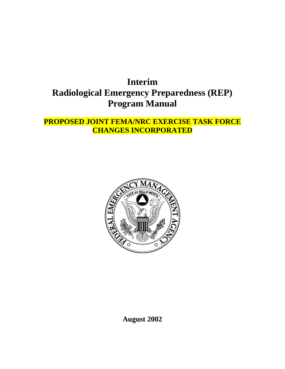# **Interim Radiological Emergency Preparedness (REP) Program Manual**

# **PROPOSED JOINT FEMA/NRC EXERCISE TASK FORCE CHANGES INCORPORATED**



**August 2002**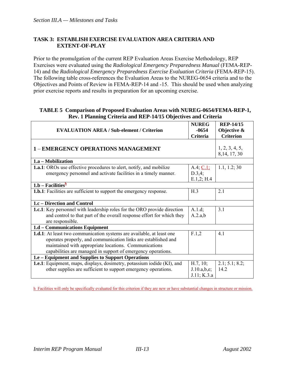# **TASK 3: ESTABLISH EXERCISE EVALUATION AREA CRITERIA AND EXTENT-OF-PLAY**

Prior to the promulgation of the current REP Evaluation Areas Exercise Methodology, REP Exercises were evaluated using the *Radiological Emergency Preparedness Manual* (FEMA-REP-14) and the *Radiological Emergency Preparedness Exercise Evaluation Criteria* (FEMA-REP-15). The following table cross-references the Evaluation Areas to the NUREG-0654 criteria and to the Objectives and Points of Review in FEMA-REP-14 and -15. This should be used when analyzing prior exercise reports and results in preparation for an upcoming exercise.

#### **TABLE 5 Comparison of Proposed Evaluation Areas with NUREG-0654/FEMA-REP-1, Rev. 1 Planning Criteria and REP-14/15 Objectives and Criteria**

| <b>EVALUATION AREA / Sub-element / Criterion</b>                                                                                                                                                                                                                         | <b>NUREG</b><br>$-0654$                | <b>REP-14/15</b><br>Objective & |  |  |
|--------------------------------------------------------------------------------------------------------------------------------------------------------------------------------------------------------------------------------------------------------------------------|----------------------------------------|---------------------------------|--|--|
|                                                                                                                                                                                                                                                                          | Criteria                               | <b>Criterion</b>                |  |  |
| <b>1 - EMERGENCY OPERATIONS MANAGEMENT</b>                                                                                                                                                                                                                               |                                        | 1, 2, 3, 4, 5,<br>8, 14, 17, 30 |  |  |
| 1.a - Mobilization                                                                                                                                                                                                                                                       |                                        |                                 |  |  |
| <b>1.a.1</b> : OROs use effective procedures to alert, notify, and mobilize                                                                                                                                                                                              | A.4; C.1;                              | 1.1, 1.2; 30                    |  |  |
| emergency personnel and activate facilities in a timely manner.                                                                                                                                                                                                          | D.3,4;<br>E.1,2; H.4                   |                                 |  |  |
| $1.b - Facilitiesb$                                                                                                                                                                                                                                                      |                                        |                                 |  |  |
| <b>1.b.1</b> : Facilities are sufficient to support the emergency response.                                                                                                                                                                                              | H.3                                    | 2.1                             |  |  |
| 1.c – Direction and Control                                                                                                                                                                                                                                              |                                        |                                 |  |  |
| <b>1.c.1</b> : Key personnel with leadership roles for the ORO provide direction                                                                                                                                                                                         | A.1.d;                                 | 3.1                             |  |  |
| and control to that part of the overall response effort for which they<br>are responsible.                                                                                                                                                                               | A.2.a,b                                |                                 |  |  |
| 1.d – Communications Equipment                                                                                                                                                                                                                                           |                                        |                                 |  |  |
| <b>1.d.1</b> : At least two communication systems are available, at least one<br>operates properly, and communication links are established and<br>maintained with appropriate locations. Communications<br>capabilities are managed in support of emergency operations. | F.1,2                                  | 4.1                             |  |  |
| 1.e - Equipment and Supplies to Support Operations                                                                                                                                                                                                                       |                                        |                                 |  |  |
| <b>1.e.1</b> : Equipment, maps, displays, dosimetry, potassium iodide (KI), and<br>other supplies are sufficient to support emergency operations.                                                                                                                        | H.7, 10;<br>J.10.a,b,e;<br>J.11; K.3.a | 2.1; 5.1; 8.2;<br>14.2          |  |  |

h Facilities will only be specifically evaluated for this criterion if they are new or have substantial changes in structure or mission.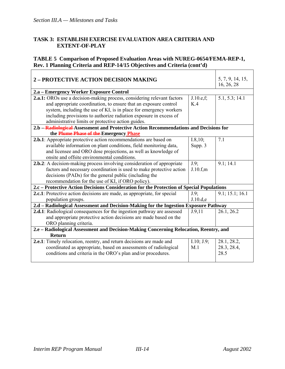$\overline{\Gamma}$ 

#### **TASK 3: ESTABLISH EXERCISE EVALUATION AREA CRITERIA AND EXTENT-OF-PLAY**

#### **TABLE 5 Comparison of Proposed Evaluation Areas with NUREG-0654/FEMA-REP-1, Rev. 1 Planning Criteria and REP-14/15 Objectives and Criteria (cont'd)**

| <b>2 - PROTECTIVE ACTION DECISION MAKING</b>                                              |            | 5, 7, 9, 14, 15,<br>16, 26, 28 |  |  |
|-------------------------------------------------------------------------------------------|------------|--------------------------------|--|--|
| 2.a – Emergency Worker Exposure Control                                                   |            |                                |  |  |
| 2.a.1: OROs use a decision-making process, considering relevant factors                   | J.10.e.f.  | 5.1, 5.3; 14.1                 |  |  |
| and appropriate coordination, to ensure that an exposure control                          | K.4        |                                |  |  |
| system, including the use of KI, is in place for emergency workers                        |            |                                |  |  |
| including provisions to authorize radiation exposure in excess of                         |            |                                |  |  |
| administrative limits or protective action guides.                                        |            |                                |  |  |
| 2.b -Radiological-Assessment and Protective Action Recommendations and Decisions for      |            |                                |  |  |
| the Plume Phase of the Emergency Phase                                                    |            |                                |  |  |
| 2.b.1: Appropriate protective action recommendations are based on                         | I.8, 10;   | 7.1                            |  |  |
| available information on plant conditions, field monitoring data,                         | Supp. 3    |                                |  |  |
| and licensee and ORO dose projections, as well as knowledge of                            |            |                                |  |  |
| onsite and offsite environmental conditions.                                              |            |                                |  |  |
| 2.b.2: A decision-making process involving consideration of appropriate                   | $J.9$ ;    | 9.1; 14.1                      |  |  |
| factors and necessary coordination is used to make protective action                      | J.10.f.m   |                                |  |  |
| decisions (PADs) for the general public (including the                                    |            |                                |  |  |
| recommendation for the use of KI, if ORO policy).                                         |            |                                |  |  |
| 2.c – Protective Action Decisions Consideration for the Protection of Special Populations |            |                                |  |  |
| <b>2.c.1</b> : Protective action decisions are made, as appropriate, for special          | $J.9$ ;    | 9.1; 15.1; 16.1                |  |  |
| population groups.                                                                        | J.10.d.e   |                                |  |  |
| 2.d - Radiological Assessment and Decision-Making for the Ingestion Exposure Pathway      |            |                                |  |  |
| 2.d.1: Radiological consequences for the ingestion pathway are assessed                   | J.9,11     | 26.1, 26.2                     |  |  |
| and appropriate protective action decisions are made based on the                         |            |                                |  |  |
| ORO planning criteria.                                                                    |            |                                |  |  |
| 2.e - Radiological Assessment and Decision-Making Concerning Relocation, Reentry, and     |            |                                |  |  |
| Return                                                                                    |            |                                |  |  |
| 2.e.1: Timely relocation, reentry, and return decisions are made and                      | I.10; J.9; | 28.1, 28.2,                    |  |  |
| coordinated as appropriate, based on assessments of radiological                          | M.1        | 28.3, 28.4,                    |  |  |
| conditions and criteria in the ORO's plan and/or procedures.                              |            | 28.5                           |  |  |
|                                                                                           |            |                                |  |  |

 $\overline{\phantom{a}}$ 

 $\top$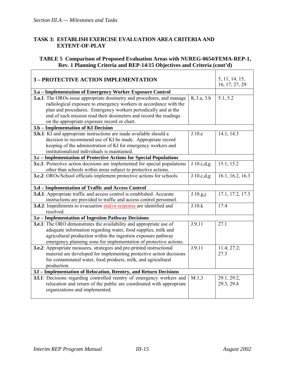#### **TASK 3: ESTABLISH EXERCISE EVALUATION AREA CRITERIA AND EXTENT-OF-PLAY**

#### **TABLE 5 Comparison of Proposed Evaluation Areas with NUREG-0654/FEMA-REP-1, Rev. 1 Planning Criteria and REP-14/15 Objectives and Criteria (cont'd)**   $\overline{\phantom{a}}$

| <b>3 - PROTECTIVE ACTION IMPLEMENTATION</b>                                                                                               |             | 5, 11, 14, 15,<br>16, 17, 27, 29 |  |  |
|-------------------------------------------------------------------------------------------------------------------------------------------|-------------|----------------------------------|--|--|
| 3.a - Implementation of Emergency Worker Exposure Control                                                                                 |             |                                  |  |  |
| <b>3.a.1</b> : The OROs issue appropriate dosimetry and procedures, and manage                                                            | K.3.a, 3.b  | 5.1, 5.2                         |  |  |
| radiological exposure to emergency workers in accordance with the                                                                         |             |                                  |  |  |
| plan and procedures. Emergency workers periodically and at the<br>end of each mission read their dosimeters and record the readings       |             |                                  |  |  |
| on the appropriate exposure record or chart.                                                                                              |             |                                  |  |  |
| 3.b - Implementation of KI Decision                                                                                                       |             |                                  |  |  |
|                                                                                                                                           | J.10.e      |                                  |  |  |
| <b>3.b.1</b> : KI and appropriate instructions are made available should a<br>decision to recommend use of KI be made. Appropriate record |             | 14.1, 14.3                       |  |  |
| keeping of the administration of KI for emergency workers and                                                                             |             |                                  |  |  |
| institutionalized individuals is maintained.                                                                                              |             |                                  |  |  |
| 3.c – Implementation of Protective Actions for Special Populations                                                                        |             |                                  |  |  |
| <b>3.c.1</b> : Protective action decisions are implemented for special populations                                                        | J.10.c.d.g. | 15.1, 15.2                       |  |  |
| other than schools within areas subject to protective actions.                                                                            |             |                                  |  |  |
| <b>3.c.2</b> : OROs/School officials implement protective actions for schools.                                                            | J.10.c.d.g. | 16.1, 16.2, 16.3                 |  |  |
|                                                                                                                                           |             |                                  |  |  |
| 3.d - Implementation of Traffic and Access Control                                                                                        |             |                                  |  |  |
| <b>3.d.1</b> : Appropriate traffic and access control is established. Accurate                                                            | J.10.g,j    | 17.1, 17.2, 17.3                 |  |  |
| instructions are provided to traffic and access control personnel.                                                                        |             |                                  |  |  |
| 3.d.2: Impediments to evacuation and/or response are identified and                                                                       | J.10.k      | 17.4                             |  |  |
| resolved.                                                                                                                                 |             |                                  |  |  |
| 3.e - Implementation of Ingestion Pathway Decisions                                                                                       |             |                                  |  |  |
| <b>3.e.1</b> : The ORO demonstrates the availability and appropriate use of                                                               | J.9,11      | 27.1                             |  |  |
| adequate information regarding water, food supplies, milk and                                                                             |             |                                  |  |  |
| agricultural production within the ingestion exposure pathway                                                                             |             |                                  |  |  |
| emergency planning zone for implementation of protective actions.                                                                         |             |                                  |  |  |
| <b>3.e.2</b> : Appropriate measures, strategies and pre-printed instructional                                                             | J.9,11      | 11.4; 27.2;                      |  |  |
| material are developed for implementing protective action decisions                                                                       |             | 27.3                             |  |  |
| for contaminated water, food products, milk, and agricultural                                                                             |             |                                  |  |  |
| production.                                                                                                                               |             |                                  |  |  |
| 3.f - Implementation of Relocation, Reentry, and Return Decisions                                                                         |             |                                  |  |  |
| 3.f.1: Decisions regarding controlled reentry of emergency workers and                                                                    | M.1,3       | 29.1, 29.2,                      |  |  |
| relocation and return of the public are coordinated with appropriate                                                                      |             | 29.3, 29.4                       |  |  |
| organizations and implemented.                                                                                                            |             |                                  |  |  |
|                                                                                                                                           |             |                                  |  |  |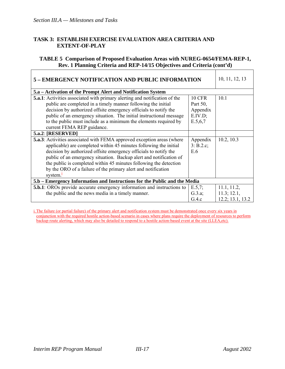#### **TASK 3: ESTABLISH EXERCISE EVALUATION AREA CRITERIA AND EXTENT-OF-PLAY**

#### **TABLE 5 Comparison of Proposed Evaluation Areas with NUREG-0654/FEMA-REP-1, Rev. 1 Planning Criteria and REP-14/15 Objectives and Criteria (cont'd)**

| 5 – EMERGENCY NOTIFICATION AND PUBLIC INFORMATION                                                                                                                                                                                                                                                                                                                                                                                                            |                                                               | 10, 11, 12, 13                                 |  |  |
|--------------------------------------------------------------------------------------------------------------------------------------------------------------------------------------------------------------------------------------------------------------------------------------------------------------------------------------------------------------------------------------------------------------------------------------------------------------|---------------------------------------------------------------|------------------------------------------------|--|--|
| 5.a - Activation of the Prompt Alert and Notification System                                                                                                                                                                                                                                                                                                                                                                                                 |                                                               |                                                |  |  |
| <b>5.a.1</b> : Activities associated with primary alerting and notification of the<br>public are completed in a timely manner following the initial<br>decision by authorized offsite emergency officials to notify the<br>public of an emergency situation. The initial instructional message<br>to the public must include as a minimum the elements required by<br>current FEMA REP guidance.                                                             | <b>10 CFR</b><br>Part 50,<br>Appendix<br>E.IV.D;<br>E.5, 6, 7 | 10.1                                           |  |  |
| <b>5.a.2: [RESERVED]</b>                                                                                                                                                                                                                                                                                                                                                                                                                                     |                                                               |                                                |  |  |
| <b>5.a.3</b> : Activities associated with FEMA approved exception areas (where<br>applicable) are completed within 45 minutes following the initial<br>decision by authorized offsite emergency officials to notify the<br>public of an emergency situation. Backup alert and notification of<br>the public is completed within 45 minutes following the detection<br>by the ORO of a failure of the primary alert and notification<br>system. $\frac{1}{2}$ | Appendix<br>3: B.2.c;<br>E.6                                  | 10.2, 10.3                                     |  |  |
| 5.b - Emergency Information and Instructions for the Public and the Media                                                                                                                                                                                                                                                                                                                                                                                    |                                                               |                                                |  |  |
| <b>5.b.1</b> : OROs provide accurate emergency information and instructions to<br>the public and the news media in a timely manner.                                                                                                                                                                                                                                                                                                                          | E.5,7;<br>G.3.a;<br>G.4.c                                     | 11.1, 11.2,<br>11.3; 12.1,<br>12.2; 13.1, 13.2 |  |  |

i. The failure (or partial failure) of the primary alert and notification system must be demonstrated once every six years in conjunction with the required hostile action-based scenario in cases where plans require the deployment of resources to perform backup route alerting, which may also be detailed to respond to a hostile action-based event at the site (LLEA,etc).

 $\overline{\phantom{a}}$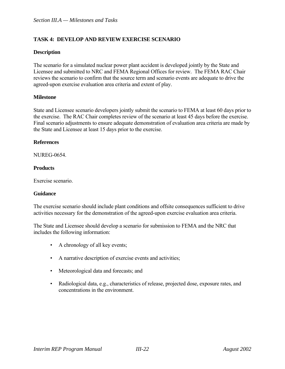#### **Description**

The scenario for a simulated nuclear power plant accident is developed jointly by the State and Licensee and submitted to NRC and FEMA Regional Offices for review. The FEMA RAC Chair reviews the scenario to confirm that the source term and scenario events are adequate to drive the agreed-upon exercise evaluation area criteria and extent of play.

#### **Milestone**

State and Licensee scenario developers jointly submit the scenario to FEMA at least 60 days prior to the exercise. The RAC Chair completes review of the scenario at least 45 days before the exercise. Final scenario adjustments to ensure adequate demonstration of evaluation area criteria are made by the State and Licensee at least 15 days prior to the exercise.

#### **References**

**NUREG-0654** 

#### **Products**

Exercise scenario.

#### **Guidance**

The exercise scenario should include plant conditions and offsite consequences sufficient to drive activities necessary for the demonstration of the agreed-upon exercise evaluation area criteria.

The State and Licensee should develop a scenario for submission to FEMA and the NRC that includes the following information:

- A chronology of all key events;
- A narrative description of exercise events and activities;
- Meteorological data and forecasts; and
- Radiological data, e.g., characteristics of release, projected dose, exposure rates, and concentrations in the environment.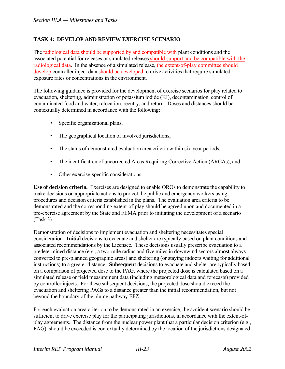The radiological data should be supported by and compatible with plant conditions and the associated potential for releases or simulated releases should support and be compatible with the radiological data. In the absence of a simulated release, the extent-of-play committee should develop controller inject data should be developed to drive activities that require simulated exposure rates or concentrations in the environment.

The following guidance is provided for the development of exercise scenarios for play related to evacuation, sheltering, administration of potassium iodide (KI), decontamination, control of contaminated food and water, relocation, reentry, and return. Doses and distances should be contextually determined in accordance with the following:

- Specific organizational plans,
- The geographical location of involved jurisdictions,
- The status of demonstrated evaluation area criteria within six-year periods,
- The identification of uncorrected Areas Requiring Corrective Action (ARCAs), and
- Other exercise-specific considerations

**Use of decision criteria.** Exercises are designed to enable OROs to demonstrate the capability to make decisions on appropriate actions to protect the public and emergency workers using procedures and decision criteria established in the plans. The evaluation area criteria to be demonstrated and the corresponding extent-of-play should be agreed upon and documented in a pre-exercise agreement by the State and FEMA prior to initiating the development of a scenario (Task 3).

Demonstration of decisions to implement evacuation and sheltering necessitates special consideration. **Initial** decisions to evacuate and shelter are typically based on plant conditions and associated recommendations by the Licensee. These decisions usually prescribe evacuation to a predetermined distance (e.g., a two-mile radius and five miles in downwind sectors almost always converted to pre-planned geographic areas) and sheltering (or staying indoors waiting for additional instructions) to a greater distance. **Subsequent** decisions to evacuate and shelter are typically based on a comparison of projected dose to the PAG, where the projected dose is calculated based on a simulated release or field measurement data (including meteorological data and forecasts) provided by controller injects. For these subsequent decisions, the projected dose should exceed the evacuation and sheltering PAGs to a distance greater than the initial recommendation, but not beyond the boundary of the plume pathway EPZ.

For each evaluation area criterion to be demonstrated in an exercise, the accident scenario should be sufficient to drive exercise play for the participating jurisdictions, in accordance with the extent-ofplay agreements. The distance from the nuclear power plant that a particular decision criterion (e.g., PAG) should be exceeded is contextually determined by the location of the jurisdictions designated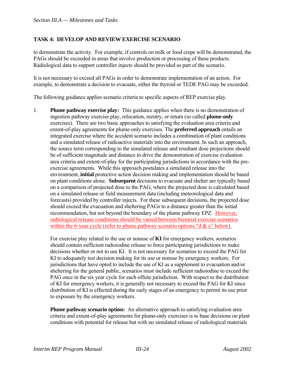to demonstrate the activity. For example, if controls on milk or food crops will be demonstrated, the PAGs should be exceeded in areas that involve production or processing of these products. Radiological data to support controller injects should be provided as part of the scenario.

It is not necessary to exceed all PAGs in order to demonstrate implementation of an action. For example, to demonstrate a decision to evacuate, either the thyroid or TEDE PAG may be exceeded.

The following guidance applies scenario criteria to specific aspects of REP exercise play.

1. **Plume pathway exercise play:** This guidance applies when there is no demonstration of ingestion pathway exercise play, relocation, reentry, or return (so called **plume-only** exercises). There are two basic approaches to satisfying the evaluation area criteria and extent-of-play agreements for plume-only exercises. The **preferred approach** entails an integrated exercise where the accident scenario includes a combination of plant conditions and a simulated release of radioactive materials into the environment. In such an approach, the source term corresponding to the simulated release and resultant dose projections should be of sufficient magnitude and distance to drive the demonstration of exercise evaluation area criteria and extent-of-play for the participating jurisdictions in accordance with the preexercise agreements. While this approach postulates a simulated release into the environment, **initial** protective action decision making and implementation should be based on plant conditions alone. **Subsequent** decisions to evacuate and shelter are typically based on a comparison of projected dose to the PAG, where the projected dose is calculated based on a simulated release or field measurement data (including meteorological data and forecasts) provided by controller injects. For these subsequent decisions, the projected dose should exceed the evacuation and sheltering PAGs to a distance greater than the initial recommendation, but not beyond the boundary of the plume pathway EPZ. However, radiological release conditions should be varied between biennial exercise scenarios within the 6-year cycle (refer to plume pathway scenario options "d  $\&$  e" below).

 For exercise play related to the use or nonuse of **KI** for emergency workers, scenarios should contain sufficient radioiodine release to force participating jurisdictions to make decisions whether or not to use KI. It is not necessary for scenarios to exceed the PAG for KI to adequately test decision making for its use or nonuse by emergency workers. For jurisdictions that have opted to include the use of KI as a supplement to evacuation and/or sheltering for the general public, scenarios must include sufficient radioiodine to exceed the PAG once in the six year cycle for each offsite jurisdiction. With respect to the distribution of KI for emergency workers, it is generally not necessary to exceed the PAG for KI since distribution of KI is effected during the early stages of an emergency to permit its use prior to exposure by the emergency workers.

 **Plume pathway scenario option:** An alternative approach to satisfying evaluation area criteria and extent-of-play agreements for plume-only exercises is to base decisions on plant conditions with potential for release but with no simulated release of radiological materials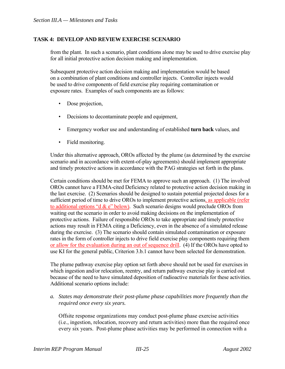from the plant. In such a scenario, plant conditions alone may be used to drive exercise play for all initial protective action decision making and implementation.

 Subsequent protective action decision making and implementation would be based on a combination of plant conditions and controller injects. Controller injects would be used to drive components of field exercise play requiring contamination or exposure rates. Examples of such components are as follows:

- Dose projection,
- Decisions to decontaminate people and equipment,
- Emergency worker use and understanding of established **turn back** values, and
- Field monitoring.

 Under this alternative approach, OROs affected by the plume (as determined by the exercise scenario and in accordance with extent-of-play agreements) should implement appropriate and timely protective actions in accordance with the PAG strategies set forth in the plans.

 Certain conditions should be met for FEMA to approve such an approach. (1) The involved OROs cannot have a FEMA-cited Deficiency related to protective action decision making in the last exercise. (2) Scenarios should be designed to sustain potential projected doses for a sufficient period of time to drive OROs to implement protective actions, as applicable (refer to additional options "d  $\&$  e" below). Such scenario designs would preclude OROs from waiting out the scenario in order to avoid making decisions on the implementation of protective actions. Failure of responsible OROs to take appropriate and timely protective actions may result in FEMA citing a Deficiency, even in the absence of a simulated release during the exercise. (3) The scenario should contain simulated contamination or exposure rates in the form of controller injects to drive field exercise play components requiring them or allow for the evaluation during an out of sequence drill. (4) If the OROs have opted to use KI for the general public, Criterion 3.b.1 cannot have been selected for demonstration.

 The plume pathway exercise play option set forth above should not be used for exercises in which ingestion and/or relocation, reentry, and return pathway exercise play is carried out because of the need to have simulated deposition of radioactive materials for these activities. Additional scenario options include:

*a. States may demonstrate their post-plume phase capabilities more frequently than the required once every six years.* 

Offsite response organizations may conduct post-plume phase exercise activities (i.e., ingestion, relocation, recovery and return activities) more than the required once every six years. Post-plume phase activities may be performed in connection with a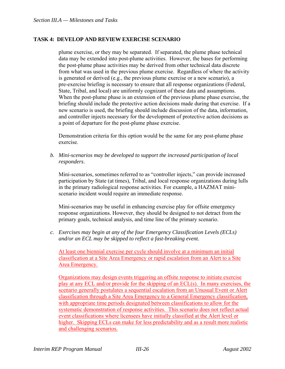plume exercise, or they may be separated. If separated, the plume phase technical data may be extended into post-plume activities. However, the bases for performing the post-plume phase activities may be derived from other technical data discrete from what was used in the previous plume exercise. Regardless of where the activity is generated or derived (e.g., the previous plume exercise or a new scenario), a pre-exercise briefing is necessary to ensure that all response organizations (Federal, State, Tribal, and local) are uniformly cognizant of these data and assumptions. When the post-plume phase is an extension of the previous plume phase exercise, the briefing should include the protective action decisions made during that exercise. If a new scenario is used, the briefing should include discussion of the data, information, and controller injects necessary for the development of protective action decisions as a point of departure for the post-plume phase exercise.

Demonstration criteria for this option would be the same for any post-plume phase exercise.

*b. Mini-scenarios may be developed to support the increased participation of local responders*.

Mini-scenarios, sometimes referred to as "controller injects," can provide increased participation by State (at times), Tribal, and local response organizations during lulls in the primary radiological response activities. For example, a HAZMAT miniscenario incident would require an immediate response.

Mini-scenarios may be useful in enhancing exercise play for offsite emergency response organizations. However, they should be designed to not detract from the primary goals, technical analysis, and time line of the primary scenario.

*c. Exercises may begin at any of the four Emergency Classification Levels (ECLs) and/or an ECL may be skipped to reflect a fast-breaking event.* 

At least one biennial exercise per cycle should involve at a minimum an initial classification at a Site Area Emergency or rapid escalation from an Alert to a Site Area Emergency.

Organizations may design events triggering an offsite response to initiate exercise play at any ECL and/or provide for the skipping of an ECL(s). In many exercises, the scenario generally postulates a sequential escalation from an Unusual Event or Alert classification through a Site Area Emergency to a General Emergency classification, with appropriate time periods designated between classifications to allow for the systematic demonstration of response activities. This scenario does not reflect actual event classifications where licensees have initially classified at the Alert level or higher. Skipping ECLs can make for less predictability and as a result more realistic and challenging scenarios.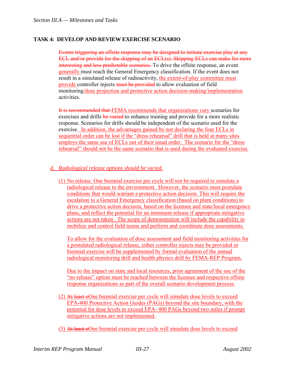Events triggering an offsite response may be designed to initiate exercise play at any ECL and/or provide for the skipping of an ECL(s). Skipping ECLs can make for more interesting and less predictable scenarios. To drive the offsite response, an event generally must reach the General Emergency classification. If the event does not result in a simulated release of radioactivity, the extent-of-play committee must provide controller injects must be provided to allow evaluation of field monitoring/dose projection and protective action decision-making/implementation activities.

It is recommended that FEMA recommends that organizations vary scenarios for exercises and drills be varied to enhance training and provide for a more realistic response. Scenarios for drills should be independent of the scenario used for the exercise. In addition, the advantages gained by not declaring the four ECLs in sequential order can be lost if the "dress rehearsal" drill that is held at many sites employs the same use of ECLs out of their usual order. The scenario for the "dress rehearsal" should *not* be the same scenario that is used during the evaluated exercise.

#### *d. Radiological release options should be varied.*

(1) No release. One biennial exercise per cycle will not be required to simulate a radiological release to the environment. However, the scenario must postulate conditions that would warrant a protective action decision. This will require the escalation to a General Emergency classification (based on plant conditions) to drive a protective action decision, based on the licensee and state/local emergency plans, and reflect the potential for an imminent release if appropriate mitigative actions are not taken. The scope of demonstration will include the capability to mobilize and control field teams and perform and coordinate dose assessments.

To allow for the evaluation of dose assessment and field monitoring activities for a postulated radiological release, either controller injects may be provided or biennial exercise will be supplemented by formal evaluation of the annual radiological monitoring drill and health physics drill by FEMA-REP Program.

Due to the impact on state and local resources, prior agreement of the use of the "no release" option must be reached between the licensee and respective offsite response organizations as part of the overall scenario development process.

- (2) At least oOne biennial exercise per cycle will simulate dose levels to exceed EPA-400 Protective Action Guides (PAGs) beyond the site boundary, with the potential for dose levels to exceed EPA- 400 PAGs beyond two miles if prompt mitigative actions are not implemented.
- (3) At least oOne biennial exercise per cycle will simulate dose levels to exceed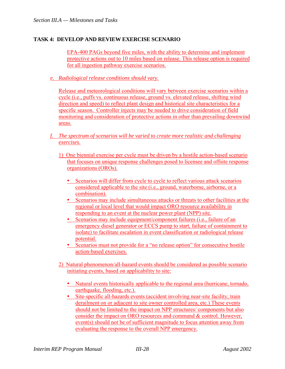EPA-400 PAGs beyond five miles, with the ability to determine and implement protective actions out to 10 miles based on release. This release option is required for all ingestion pathway exercise scenarios.

*e. Radiological release conditions should vary.*

Release and meteorological conditions will vary between exercise scenarios within a cycle (i.e., puffs vs. continuous release, ground vs. elevated release, shifting wind direction and speed) to reflect plant design and historical site characteristics for a specific season. Controller injects may be needed to drive consideration of field monitoring and consideration of protective actions in other than prevailing downwind areas.

- *f. The spectrum of scenarios will be varied to create more realistic and challenging exercises.*
	- 1) One biennial exercise per cycle must be driven by a hostile action-based scenario that focuses on unique response challenges posed to licensee and offsite response organizations (OROs).
		- Scenarios will differ from cycle to cycle to reflect various attack scenarios considered applicable to the site (i.e., ground, waterborne, airborne, or a combination).
		- Scenarios may include simultaneous attacks or threats to other facilities at the regional or local level that would impact ORO resource availability in responding to an event at the nuclear power plant (NPP) site.
		- Scenarios may include equipment/component failures (i.e., failure of an emergency diesel generator or ECCS pump to start, failure of containment to isolate) to facilitate escalation in event classification or radiological release potential.
		- Scenarios must not provide for a "no release option" for consecutive hostile action-based exercises.
	- 2) Natural phenomenon/all-hazard events should be considered as possible scenario initiating events, based on applicability to site:
		- Natural events historically applicable to the regional area (hurricane, tornado, earthquake, flooding, etc.).
		- Site-specific all-hazards events (accident involving near-site facility, train derailment on or adjacent to site owner controlled area, etc.) These events should not be limited to the impact on NPP structures/ components but also consider the impact on ORO resources and command & control. However, event(s) should not be of sufficient magnitude to focus attention away from evaluating the response to the overall NPP emergency.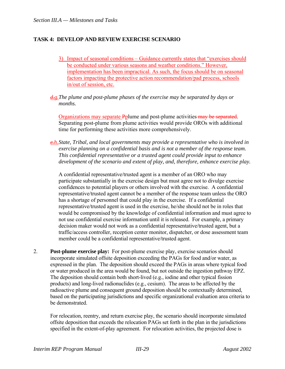- 3) Impact of seasonal conditions Guidance currently states that "exercises should be conducted under various seasons and weather conditions." However, implementation has been impractical. As such, the focus should be on seasonal factors impacting the protective action recommendation/pad process, schools in/out of session, etc.
- *d.g.The plume and post-plume phases of the exercise may be separated by days or months.*

Organizations may separate Pplume and post-plume activities may be separated. Separating post-plume from plume activities would provide OROs with additional time for performing these activities more comprehensively.

*e.h.State, Tribal, and local governments may provide a representative who is involved in exercise planning on a confidential basis and is not a member of the response team. This confidential representative or a trusted agent could provide input to enhance development of the scenario and extent of play, and, therefore, enhance exercise play.* 

A confidential representative/trusted agent is a member of an ORO who may participate substantially in the exercise design but must agree not to divulge exercise confidences to potential players or others involved with the exercise. A confidential representative/trusted agent cannot be a member of the response team unless the ORO has a shortage of personnel that could play in the exercise. If a confidential representative/trusted agent is used in the exercise, he/she should not be in roles that would be compromised by the knowledge of confidential information and must agree to not use confidential exercise information until it is released. For example, a primary decision maker would not work as a confidential representative/trusted agent, but a traffic/access controller, reception center monitor, dispatcher, or dose assessment team member could be a confidential representative/trusted agent.

2. **Post-plume exercise play:** For post-plume exercise play, exercise scenarios should incorporate simulated offsite deposition exceeding the PAGs for food and/or water, as expressed in the plan. The deposition should exceed the PAGs in areas where typical food or water produced in the area would be found, but not outside the ingestion pathway EPZ. The deposition should contain both short-lived (e.g., iodine and other typical fission products) and long-lived radionuclides (e.g., cesium). The areas to be affected by the radioactive plume and consequent ground deposition should be contextually determined, based on the participating jurisdictions and specific organizational evaluation area criteria to be demonstrated

 For relocation, reentry, and return exercise play, the scenario should incorporate simulated offsite deposition that exceeds the relocation PAGs set forth in the plan in the jurisdictions specified in the extent-of-play agreement. For relocation activities, the projected dose is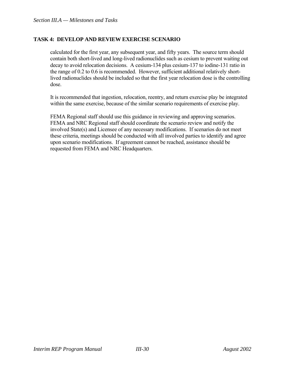calculated for the first year, any subsequent year, and fifty years. The source term should contain both short-lived and long-lived radionuclides such as cesium to prevent waiting out decay to avoid relocation decisions. A cesium-134 plus cesium-137 to iodine-131 ratio in the range of 0.2 to 0.6 is recommended. However, sufficient additional relatively shortlived radionuclides should be included so that the first year relocation dose is the controlling dose.

 It is recommended that ingestion, relocation, reentry, and return exercise play be integrated within the same exercise, because of the similar scenario requirements of exercise play.

 FEMA Regional staff should use this guidance in reviewing and approving scenarios. FEMA and NRC Regional staff should coordinate the scenario review and notify the involved State(s) and Licensee of any necessary modifications. If scenarios do not meet these criteria, meetings should be conducted with all involved parties to identify and agree upon scenario modifications. If agreement cannot be reached, assistance should be requested from FEMA and NRC Headquarters.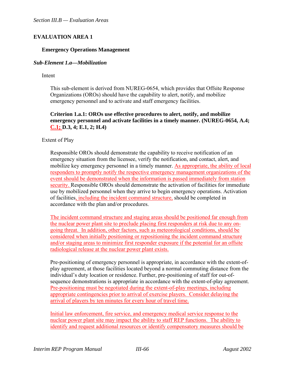# **EVALUATION AREA 1**

#### **Emergency Operations Management**

#### *Sub-Element 1.a—Mobilization*

Intent

This sub-element is derived from NUREG-0654, which provides that Offsite Response Organizations (OROs) should have the capability to alert, notify, and mobilize emergency personnel and to activate and staff emergency facilities.

#### **Criterion 1.a.1: OROs use effective procedures to alert, notify, and mobilize emergency personnel and activate facilities in a timely manner. (NUREG-0654, A.4; C.1; D.3, 4; E.1, 2; H.4)**

Extent of Play

Responsible OROs should demonstrate the capability to receive notification of an emergency situation from the licensee, verify the notification, and contact, alert, and mobilize key emergency personnel in a timely manner. As appropriate, the ability of local responders to promptly notify the respective emergency management organizations of the event should be demonstrated when the information is passed immediately from station security. Responsible OROs should demonstrate the activation of facilities for immediate use by mobilized personnel when they arrive to begin emergency operations. Activation of facilities, including the incident command structure, should be completed in accordance with the plan and/or procedures.

The incident command structure and staging areas should be positioned far enough from the nuclear power plant site to preclude placing first responders at risk due to any ongoing threat. In addition, other factors, such as meteorological conditions, should be considered when initially positioning or repositioning the incident command structure and/or staging areas to minimize first responder exposure if the potential for an offsite radiological release at the nuclear power plant exists.

Pre-positioning of emergency personnel is appropriate, in accordance with the extent-ofplay agreement, at those facilities located beyond a normal commuting distance from the individual's duty location or residence. Further, pre-positioning of staff for out-ofsequence demonstrations is appropriate in accordance with the extent-of-play agreement. Pre-positioning must be negotiated during the extent-of-play meetings, including appropriate contingencies prior to arrival of exercise players. Consider delaying the arrival of players by ten minutes for every hour of travel time.

Initial law enforcement, fire service, and emergency medical service response to the nuclear power plant site may impact the ability to staff REP functions. The ability to identify and request additional resources or identify compensatory measures should be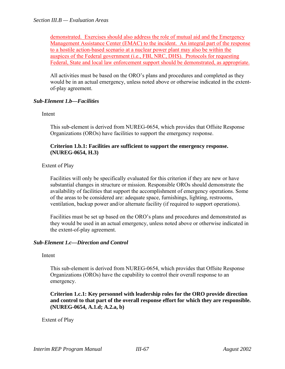demonstrated. Exercises should also address the role of mutual aid and the Emergency Management Assistance Center (EMAC) to the incident. An integral part of the response to a hostile action-based scenario at a nuclear power plant may also be within the auspices of the Federal government (i.e., FBI, NRC, DHS). Protocols for requesting Federal, State and local law enforcement support should be demonstrated, as appropriate.

All activities must be based on the ORO's plans and procedures and completed as they would be in an actual emergency, unless noted above or otherwise indicated in the extentof-play agreement.

# *Sub-Element 1.b—Facilities*

Intent

This sub-element is derived from NUREG-0654, which provides that Offsite Response Organizations (OROs) have facilities to support the emergency response.

#### **Criterion 1.b.1: Facilities are sufficient to support the emergency response. (NUREG-0654, H.3)**

Extent of Play

Facilities will only be specifically evaluated for this criterion if they are new or have substantial changes in structure or mission. Responsible OROs should demonstrate the availability of facilities that support the accomplishment of emergency operations. Some of the areas to be considered are: adequate space, furnishings, lighting, restrooms, ventilation, backup power and/or alternate facility (if required to support operations).

Facilities must be set up based on the ORO's plans and procedures and demonstrated as they would be used in an actual emergency, unless noted above or otherwise indicated in the extent-of-play agreement.

#### *Sub-Element 1.c—Direction and Control*

Intent

This sub-element is derived from NUREG-0654, which provides that Offsite Response Organizations (OROs) have the capability to control their overall response to an emergency.

 **Criterion 1.c.1: Key personnel with leadership roles for the ORO provide direction and control to that part of the overall response effort for which they are responsible. (NUREG-0654, A.1.d; A.2.a, b)** 

Extent of Play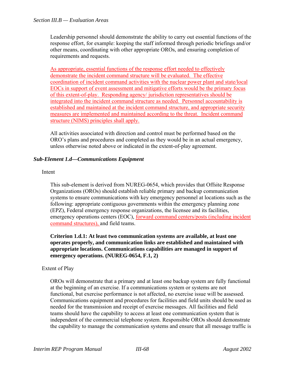Leadership personnel should demonstrate the ability to carry out essential functions of the response effort, for example: keeping the staff informed through periodic briefings and/or other means, coordinating with other appropriate OROs, and ensuring completion of requirements and requests.

As appropriate, essential functions of the response effort needed to effectively demonstrate the incident command structure will be evaluated. The effective coordination of incident command activities with the nuclear power plant and state/local EOCs in support of event assessment and mitigative efforts would be the primary focus of this extent-of-play. Responding agency/ jurisdiction representatives should be integrated into the incident command structure as needed. Personnel accountability is established and maintained at the incident command structure, and appropriate security measures are implemented and maintained according to the threat. Incident command structure (NIMS) principles shall apply.

All activities associated with direction and control must be performed based on the ORO's plans and procedures and completed as they would be in an actual emergency, unless otherwise noted above or indicated in the extent-of-play agreement.

# *Sub-Element 1.d—Communications Equipment*

#### Intent

This sub-element is derived from NUREG-0654, which provides that Offsite Response Organizations (OROs) should establish reliable primary and backup communication systems to ensure communications with key emergency personnel at locations such as the following: appropriate contiguous governments within the emergency planning zone (EPZ), Federal emergency response organizations, the licensee and its facilities, emergency operations centers (EOC), forward command centers/posts (including incident command structures), and field teams.

 **Criterion 1.d.1: At least two communication systems are available, at least one operates properly, and communication links are established and maintained with appropriate locations. Communications capabilities are managed in support of emergency operations. (NUREG-0654, F.1, 2)** 

#### Extent of Play

OROs will demonstrate that a primary and at least one backup system are fully functional at the beginning of an exercise. If a communications system or systems are not functional, but exercise performance is not affected, no exercise issue will be assessed. Communications equipment and procedures for facilities and field units should be used as needed for the transmission and receipt of exercise messages. All facilities and field teams should have the capability to access at least one communication system that is independent of the commercial telephone system. Responsible OROs should demonstrate the capability to manage the communication systems and ensure that all message traffic is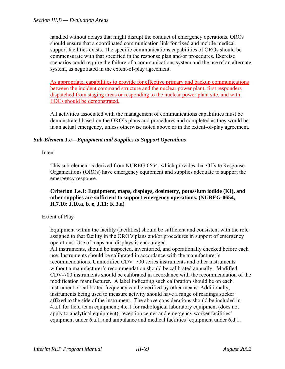handled without delays that might disrupt the conduct of emergency operations. OROs should ensure that a coordinated communication link for fixed and mobile medical support facilities exists. The specific communications capabilities of OROs should be commensurate with that specified in the response plan and/or procedures. Exercise scenarios could require the failure of a communications system and the use of an alternate system, as negotiated in the extent-of-play agreement.

As appropriate, capabilities to provide for effective primary and backup communications between the incident command structure and the nuclear power plant, first responders dispatched from staging areas or responding to the nuclear power plant site, and with EOCs should be demonstrated.

All activities associated with the management of communications capabilities must be demonstrated based on the ORO's plans and procedures and completed as they would be in an actual emergency, unless otherwise noted above or in the extent-of-play agreement.

# *Sub-Element 1.e—Equipment and Supplies to Support Operations*

#### Intent

This sub-element is derived from NUREG-0654, which provides that Offsite Response Organizations (OROs) have emergency equipment and supplies adequate to support the emergency response.

#### **Criterion 1.e.1: Equipment, maps, displays, dosimetry, potassium iodide (KI), and other supplies are sufficient to support emergency operations. (NUREG-0654, H.7,10; J.10.a, b, e, J.11; K.3.a)**

# Extent of Play

Equipment within the facility (facilities) should be sufficient and consistent with the role assigned to that facility in the ORO's plans and/or procedures in support of emergency operations. Use of maps and displays is encouraged.

All instruments, should be inspected, inventoried, and operationally checked before each use. Instruments should be calibrated in accordance with the manufacturer's recommendations. Unmodified CDV–700 series instruments and other instruments without a manufacturer's recommendation should be calibrated annually. Modified CDV-700 instruments should be calibrated in accordance with the recommendation of the modification manufacturer. A label indicating such calibration should be on each instrument or calibrated frequency can be verified by other means. Additionally, instruments being used to measure activity should have a range of readings sticker affixed to the side of the instrument. The above considerations should be included in 4.a.1 for field team equipment; 4.c.1 for radiological laboratory equipment (does not apply to analytical equipment); reception center and emergency worker facilities' equipment under 6.a.1; and ambulance and medical facilities' equipment under 6.d.1.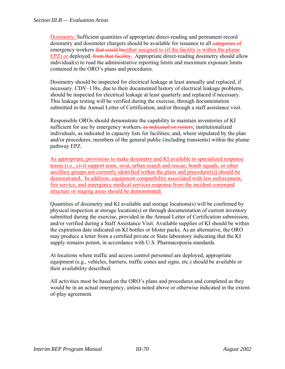Dosimetry: Sufficient quantities of appropriate direct-reading and permanent record dosimetry and dosimeter chargers should be available for issuance to all **categories of** emergency workers that could beeither assigned to (if the facility is within the plume EPZ) or deployed. *from that facility*. Appropriate direct-reading dosimetry should allow individual(s) to read the administrative reporting limits and maximum exposure limits contained in the ORO's plans and procedures.

Dosimetry should be inspected for electrical leakage at least annually and replaced, if necessary. CDV–138s, due to their documented history of electrical leakage problems, should be inspected for electrical leakage at least quarterly and replaced if necessary. This leakage testing will be verified during the exercise, through documentation submitted in the Annual Letter of Certification, and/or through a staff assistance visit.

Responsible OROs should demonstrate the capability to maintain inventories of KI sufficient for use by emergency workers, as indicated on rosters; institutionalized individuals, as indicated in capacity lists for facilities; and, where stipulated by the plan and/or procedures, members of the general public (including transients) within the plume pathway EPZ.

As appropriate, provisions to make dosimetry and KI available to specialized response teams (i.e., civil support team, swat, urban search and rescue, bomb squads, or other ancillary groups not currently identified within the plans and procedure(s)) should be demonstrated. In addition, equipment compatibility associated with law enforcement, fire service, and emergency medical services response from the incident command structure or staging areas should be demonstrated.

Quantities of dosimetry and KI available and storage locations(s) will be confirmed by physical inspection at storage location(s) or through documentation of current inventory submitted during the exercise, provided in the Annual Letter of Certification submission, and/or verified during a Staff Assistance Visit. Available supplies of KI should be within the expiration date indicated on KI bottles or blister packs. As an alternative, the ORO may produce a letter from a certified private or State laboratory indicating that the KI supply remains potent, in accordance with U.S. Pharmacopoeia standards.

At locations where traffic and access control personnel are deployed, appropriate equipment (e.g., vehicles, barriers, traffic cones and signs, etc.) should be available or their availability described.

All activities must be based on the ORO's plans and procedures and completed as they would be in an actual emergency, unless noted above or otherwise indicated in the extentof-play agreement.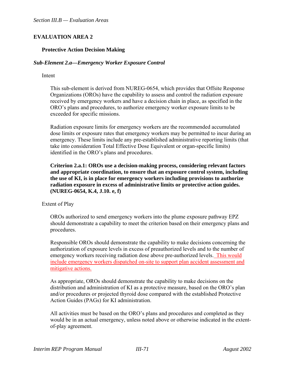# **EVALUATION AREA 2**

#### **Protective Action Decision Making**

#### *Sub-Element 2.a—Emergency Worker Exposure Control*

#### Intent

This sub-element is derived from NUREG-0654, which provides that Offsite Response Organizations (OROs) have the capability to assess and control the radiation exposure received by emergency workers and have a decision chain in place, as specified in the ORO's plans and procedures, to authorize emergency worker exposure limits to be exceeded for specific missions.

Radiation exposure limits for emergency workers are the recommended accumulated dose limits or exposure rates that emergency workers may be permitted to incur during an emergency. These limits include any pre-established administrative reporting limits (that take into consideration Total Effective Dose Equivalent or organ-specific limits) identified in the ORO's plans and procedures.

 **Criterion 2.a.1: OROs use a decision-making process, considering relevant factors and appropriate coordination, to ensure that an exposure control system, including the use of KI, is in place for emergency workers including provisions to authorize radiation exposure in excess of administrative limits or protective action guides. (NUREG-0654, K.4, J.10. e, f)** 

Extent of Play

OROs authorized to send emergency workers into the plume exposure pathway EPZ should demonstrate a capability to meet the criterion based on their emergency plans and procedures.

Responsible OROs should demonstrate the capability to make decisions concerning the authorization of exposure levels in excess of preauthorized levels and to the number of emergency workers receiving radiation dose above pre-authorized levels. This would include emergency workers dispatched on-site to support plan accident assessment and mitigative actions.

As appropriate, OROs should demonstrate the capability to make decisions on the distribution and administration of KI as a protective measure, based on the ORO's plan and/or procedures or projected thyroid dose compared with the established Protective Action Guides (PAGs) for KI administration.

All activities must be based on the ORO's plans and procedures and completed as they would be in an actual emergency, unless noted above or otherwise indicated in the extentof-play agreement.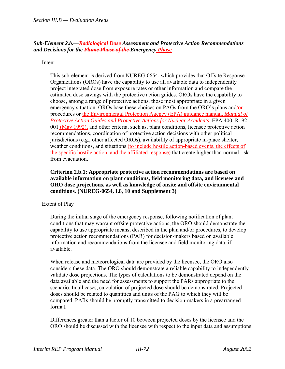#### *Sub-Element 2.b.—Radiological Dose Assessment and Protective Action Recommendations and Decisions for the Plume Phase of the Emergency Phase*

#### Intent

This sub-element is derived from NUREG-0654, which provides that Offsite Response Organizations (OROs) have the capability to use all available data to independently project integrated dose from exposure rates or other information and compare the estimated dose savings with the protective action guides. OROs have the capability to choose, among a range of protective actions, those most appropriate in a given emergency situation. OROs base these choices on PAGs from the ORO's plans and/or procedures or the Environmental Protection Agency (EPA) guidance manual, *Manual of Protective Action Guides and Protective Actions for Nuclear Accidents*, EPA 400–R–92– 001 (May 1992), and other criteria, such as, plant conditions, licensee protective action recommendations, coordination of protective action decisions with other political jurisdictions (e.g., other affected OROs), availability of appropriate in-place shelter, weather conditions, and situations (to include hostile action-based events, the effects of the specific hostile action, and the affiliated response) that create higher than normal risk from evacuation.

**Criterion 2.b.1: Appropriate protective action recommendations are based on available information on plant conditions, field monitoring data, and licensee and ORO dose projections, as well as knowledge of onsite and offsite environmental conditions. (NUREG-0654, I.8, 10 and Supplement 3)** 

#### Extent of Play

During the initial stage of the emergency response, following notification of plant conditions that may warrant offsite protective actions, the ORO should demonstrate the capability to use appropriate means, described in the plan and/or procedures, to develop protective action recommendations (PAR) for decision-makers based on available information and recommendations from the licensee and field monitoring data, if available.

When release and meteorological data are provided by the licensee, the ORO also considers these data. The ORO should demonstrate a reliable capability to independently validate dose projections. The types of calculations to be demonstrated depend on the data available and the need for assessments to support the PARs appropriate to the scenario. In all cases, calculation of projected dose should be demonstrated. Projected doses should be related to quantities and units of the PAG to which they will be compared. PARs should be promptly transmitted to decision-makers in a prearranged format.

Differences greater than a factor of 10 between projected doses by the licensee and the ORO should be discussed with the licensee with respect to the input data and assumptions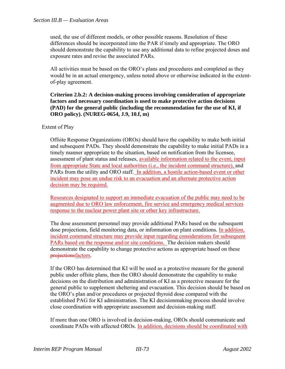used, the use of different models, or other possible reasons. Resolution of these differences should be incorporated into the PAR if timely and appropriate. The ORO should demonstrate the capability to use any additional data to refine projected doses and exposure rates and revise the associated PARs.

All activities must be based on the ORO's plans and procedures and completed as they would be in an actual emergency, unless noted above or otherwise indicated in the extentof-play agreement.

#### **Criterion 2.b.2: A decision-making process involving consideration of appropriate factors and necessary coordination is used to make protective action decisions (PAD) for the general public (including the recommendation for the use of KI, if ORO policy). (NUREG-0654, J.9, 10.f, m)**

# Extent of Play

Offsite Response Organizations (OROs) should have the capability to make both initial and subsequent PADs. They should demonstrate the capability to make initial PADs in a timely manner appropriate to the situation, based on notification from the licensee, assessment of plant status and releases, available information related to the event, input from appropriate State and local authorities (i.e., the incident command structure), and PARs from the utility and ORO staff. In addition, a hostile action-based event or other incident may pose an undue risk to an evacuation and an alternate protective action decision may be required.

Resources designated to support an immediate evacuation of the public may need to be augmented due to ORO law enforcement, fire service and emergency medical services response to the nuclear power plant site or other key infrastructure.

The dose assessment personnel may provide additional PARs based on the subsequent dose projections, field monitoring data, or information on plant conditions. In addition, incident command structure may provide input regarding considerations for subsequent PARs based on the response and/or site conditions. The decision makers should demonstrate the capability to change protective actions as appropriate based on these projectionsfactors.

If the ORO has determined that KI will be used as a protective measure for the general public under offsite plans, then the ORO should demonstrate the capability to make decisions on the distribution and administration of KI as a protective measure for the general public to supplement sheltering and evacuation. This decision should be based on the ORO's plan and/or procedures or projected thyroid dose compared with the established PAG for KI administration. The KI decisionmaking process should involve close coordination with appropriate assessment and decision-making staff.

If more than one ORO is involved in decision-making, OROs should communicate and coordinate PADs with affected OROs. In addition, decisions should be coordinated with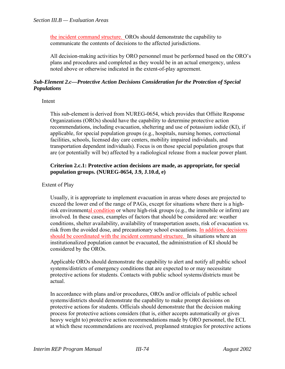the incident command structure. OROs should demonstrate the capability to communicate the contents of decisions to the affected jurisdictions.

All decision-making activities by ORO personnel must be performed based on the ORO's plans and procedures and completed as they would be in an actual emergency, unless noted above or otherwise indicated in the extent-of-play agreement.

#### *Sub-Element 2.c—Protective Action Decisions Consideration for the Protection of Special Populations*

Intent

This sub-element is derived from NUREG-0654, which provides that Offsite Response Organizations (OROs) should have the capability to determine protective action recommendations, including evacuation, sheltering and use of potassium iodide (KI), if applicable, for special population groups (e.g., hospitals, nursing homes, correctional facilities, schools, licensed day care centers, mobility impaired individuals, and transportation dependent individuals). Focus is on those special population groups that are (or potentially will be) affected by a radiological release from a nuclear power plant.

#### **Criterion 2.c.1: Protective action decisions are made, as appropriate, for special population groups. (NUREG-0654, J.9, J.10.d, e)**

#### Extent of Play

Usually, it is appropriate to implement evacuation in areas where doses are projected to exceed the lower end of the range of PAGs, except for situations where there is a highrisk environmental condition or where high-risk groups (e.g., the immobile or infirm) are involved. In these cases, examples of factors that should be considered are: weather conditions, shelter availability, availability of transportation assets, risk of evacuation vs. risk from the avoided dose, and precautionary school evacuations. In addition, decisions should be coordinated with the incident command structure. In situations where an institutionalized population cannot be evacuated, the administration of KI should be considered by the OROs.

Applicable OROs should demonstrate the capability to alert and notify all public school systems/districts of emergency conditions that are expected to or may necessitate protective actions for students. Contacts with public school systems/districts must be actual.

In accordance with plans and/or procedures, OROs and/or officials of public school systems/districts should demonstrate the capability to make prompt decisions on protective actions for students. Officials should demonstrate that the decision making process for protective actions considers (that is, either accepts automatically or gives heavy weight to) protective action recommendations made by ORO personnel, the ECL at which these recommendations are received, preplanned strategies for protective actions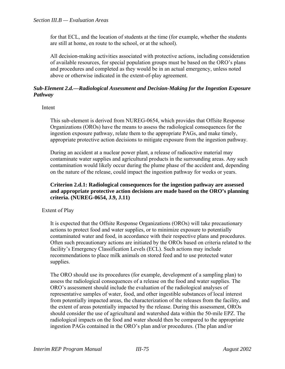for that ECL, and the location of students at the time (for example, whether the students are still at home, en route to the school, or at the school).

All decision-making activities associated with protective actions, including consideration of available resources, for special population groups must be based on the ORO's plans and procedures and completed as they would be in an actual emergency, unless noted above or otherwise indicated in the extent-of-play agreement.

# *Sub-Element 2.d.—Radiological Assessment and Decision-Making for the Ingestion Exposure Pathway*

Intent

This sub-element is derived from NUREG-0654, which provides that Offsite Response Organizations (OROs) have the means to assess the radiological consequences for the ingestion exposure pathway, relate them to the appropriate PAGs, and make timely, appropriate protective action decisions to mitigate exposure from the ingestion pathway.

During an accident at a nuclear power plant, a release of radioactive material may contaminate water supplies and agricultural products in the surrounding areas. Any such contamination would likely occur during the plume phase of the accident and, depending on the nature of the release, could impact the ingestion pathway for weeks or years.

#### **Criterion 2.d.1: Radiological consequences for the ingestion pathway are assessed and appropriate protective action decisions are made based on the ORO's planning criteria. (NUREG-0654, J.9, J.11)**

#### Extent of Play

It is expected that the Offsite Response Organizations (OROs) will take precautionary actions to protect food and water supplies, or to minimize exposure to potentially contaminated water and food, in accordance with their respective plans and procedures. Often such precautionary actions are initiated by the OROs based on criteria related to the facility's Emergency Classification Levels (ECL). Such actions may include recommendations to place milk animals on stored feed and to use protected water supplies.

The ORO should use its procedures (for example, development of a sampling plan) to assess the radiological consequences of a release on the food and water supplies. The ORO's assessment should include the evaluation of the radiological analyses of representative samples of water, food, and other ingestible substances of local interest from potentially impacted areas, the characterization of the releases from the facility, and the extent of areas potentially impacted by the release. During this assessment, OROs should consider the use of agricultural and watershed data within the 50-mile EPZ. The radiological impacts on the food and water should then be compared to the appropriate ingestion PAGs contained in the ORO's plan and/or procedures. (The plan and/or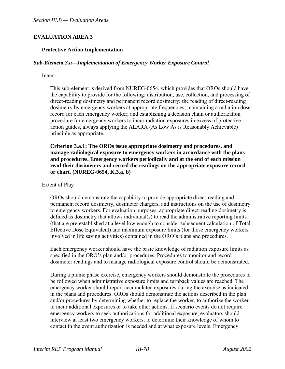# **EVALUATION AREA 3**

#### **Protective Action Implementation**

#### *Sub-Element 3.a—Implementation of Emergency Worker Exposure Control*

#### Intent

This sub-element is derived from NUREG-0654, which provides that OROs should have the capability to provide for the following: distribution, use, collection, and processing of direct-reading dosimetry and permanent record dosimetry; the reading of direct-reading dosimetry by emergency workers at appropriate frequencies; maintaining a radiation dose record for each emergency worker; and establishing a decision chain or authorization procedure for emergency workers to incur radiation exposures in excess of protective action guides, always applying the ALARA (As Low As is Reasonably Achievable) principle as appropriate.

 **Criterion 3.a.1: The OROs issue appropriate dosimetry and procedures, and manage radiological exposure to emergency workers in accordance with the plans and procedures. Emergency workers periodically and at the end of each mission read their dosimeters and record the readings on the appropriate exposure record or chart. (NUREG-0654, K.3.a, b)** 

#### Extent of Play

OROs should demonstrate the capability to provide appropriate direct-reading and permanent record dosimetry, dosimeter chargers, and instructions on the use of dosimetry to emergency workers. For evaluation purposes, appropriate direct-reading dosimetry is defined as dosimetry that allows individual(s) to read the administrative reporting limits (that are pre-established at a level low enough to consider subsequent calculation of Total Effective Dose Equivalent) and maximum exposure limits (for those emergency workers involved in life saving activities) contained in the ORO's plans and procedures.

Each emergency worker should have the basic knowledge of radiation exposure limits as specified in the ORO's plan and/or procedures. Procedures to monitor and record dosimeter readings and to manage radiological exposure control should be demonstrated.

During a plume phase exercise, emergency workers should demonstrate the procedures to be followed when administrative exposure limits and turnback values are reached. The emergency worker should report accumulated exposures during the exercise as indicated in the plans and procedures. OROs should demonstrate the actions described in the plan and/or procedures by determining whether to replace the worker, to authorize the worker to incur additional exposures or to take other actions. If scenario events do not require emergency workers to seek authorizations for additional exposure, evaluators should interview at least two emergency workers, to determine their knowledge of whom to contact in the event authorization is needed and at what exposure levels. Emergency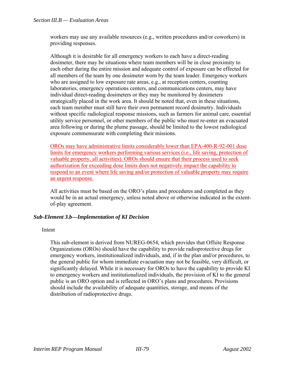workers may use any available resources (e.g., written procedures and/or coworkers) in providing responses.

Although it is desirable for all emergency workers to each have a direct-reading dosimeter, there may be situations where team members will be in close proximity to each other during the entire mission and adequate control of exposure can be effected for all members of the team by one dosimeter worn by the team leader. Emergency workers who are assigned to low exposure rate areas, e.g., at reception centers, counting laboratories, emergency operations centers, and communications centers, may have individual direct-reading dosimeters or they may be monitored by dosimeters strategically placed in the work area. It should be noted that, even in these situations, each team member must still have their own permanent record dosimetry. Individuals without specific radiological response missions, such as farmers for animal care, essential utility service personnel, or other members of the public who must re-enter an evacuated area following or during the plume passage, should be limited to the lowest radiological exposure commensurate with completing their missions.

OROs may have administrative limits considerably lower than EPA-400-R-92-001 dose limits for emergency workers performing various services (i.e., life saving, protection of valuable property, all activities). OROs should ensure that their process used to seek authorization for exceeding dose limits does not negatively impact the capability to respond to an event where life saving and/or protection of valuable property may require an urgent response.

All activities must be based on the ORO's plans and procedures and completed as they would be in an actual emergency, unless noted above or otherwise indicated in the extentof-play agreement.

# *Sub-Element 3.b—Implementation of KI Decision*

#### Intent

This sub-element is derived from NUREG-0654, which provides that Offsite Response Organizations (OROs) should have the capability to provide radioprotective drugs for emergency workers, institutionalized individuals, and, if in the plan and/or procedures, to the general public for whom immediate evacuation may not be feasible, very difficult, or significantly delayed. While it is necessary for OROs to have the capability to provide KI to emergency workers and institutionalized individuals, the provision of KI to the general public is an ORO option and is reflected in ORO's plans and procedures. Provisions should include the availability of adequate quantities, storage, and means of the distribution of radioprotective drugs.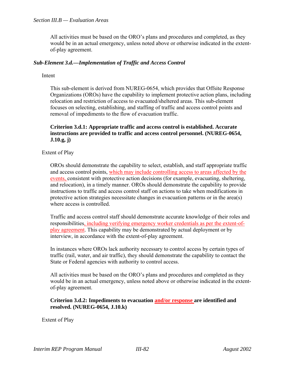All activities must be based on the ORO's plans and procedures and completed, as they would be in an actual emergency, unless noted above or otherwise indicated in the extentof-play agreement.

#### *Sub-Element 3.d.—Implementation of Traffic and Access Control*

Intent

This sub-element is derived from NUREG-0654, which provides that Offsite Response Organizations (OROs) have the capability to implement protective action plans, including relocation and restriction of access to evacuated/sheltered areas. This sub-element focuses on selecting, establishing, and staffing of traffic and access control points and removal of impediments to the flow of evacuation traffic.

#### **Criterion 3.d.1: Appropriate traffic and access control is established. Accurate instructions are provided to traffic and access control personnel. (NUREG-0654, J.10.g, j)**

Extent of Play

OROs should demonstrate the capability to select, establish, and staff appropriate traffic and access control points, which may include controlling access to areas affected by the events, consistent with protective action decisions (for example, evacuating, sheltering, and relocation), in a timely manner. OROs should demonstrate the capability to provide instructions to traffic and access control staff on actions to take when modifications in protective action strategies necessitate changes in evacuation patterns or in the area(s) where access is controlled.

Traffic and access control staff should demonstrate accurate knowledge of their roles and responsibilities, including verifying emergency worker credentials as per the extent-ofplay agreement. This capability may be demonstrated by actual deployment or by interview, in accordance with the extent-of-play agreement.

In instances where OROs lack authority necessary to control access by certain types of traffic (rail, water, and air traffic), they should demonstrate the capability to contact the State or Federal agencies with authority to control access.

All activities must be based on the ORO's plans and procedures and completed as they would be in an actual emergency, unless noted above or otherwise indicated in the extentof-play agreement.

#### **Criterion 3.d.2: Impediments to evacuation and/or response are identified and resolved. (NUREG-0654, J.10.k)**

Extent of Play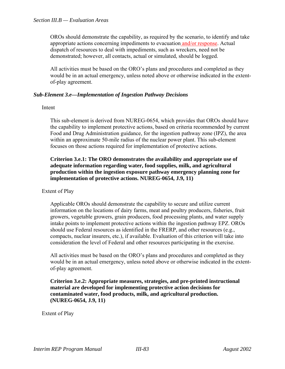OROs should demonstrate the capability, as required by the scenario, to identify and take appropriate actions concerning impediments to evacuation and/or response. Actual dispatch of resources to deal with impediments, such as wreckers, need not be demonstrated; however, all contacts, actual or simulated, should be logged.

All activities must be based on the ORO's plans and procedures and completed as they would be in an actual emergency, unless noted above or otherwise indicated in the extentof-play agreement.

# *Sub-Element 3.e—Implementation of Ingestion Pathway Decisions*

#### Intent

This sub-element is derived from NUREG-0654, which provides that OROs should have the capability to implement protective actions, based on criteria recommended by current Food and Drug Administration guidance, for the ingestion pathway zone (IPZ), the area within an approximate 50-mile radius of the nuclear power plant. This sub-element focuses on those actions required for implementation of protective actions.

#### **Criterion 3.e.1: The ORO demonstrates the availability and appropriate use of adequate information regarding water, food supplies, milk, and agricultural production within the ingestion exposure pathway emergency planning zone for implementation of protective actions. NUREG-0654, J.9, 11)**

#### Extent of Play

Applicable OROs should demonstrate the capability to secure and utilize current information on the locations of dairy farms, meat and poultry producers, fisheries, fruit growers, vegetable growers, grain producers, food processing plants, and water supply intake points to implement protective actions within the ingestion pathway EPZ. OROs should use Federal resources as identified in the FRERP, and other resources (e.g., compacts, nuclear insurers, etc.), if available. Evaluation of this criterion will take into consideration the level of Federal and other resources participating in the exercise.

All activities must be based on the ORO's plans and procedures and completed as they would be in an actual emergency, unless noted above or otherwise indicated in the extentof-play agreement.

#### **Criterion 3.e.2: Appropriate measures, strategies, and pre-printed instructional material are developed for implementing protective action decisions for contaminated water, food products, milk, and agricultural production. (NUREG-0654, J.9, 11)**

Extent of Play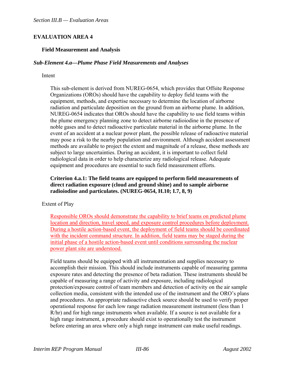# **EVALUATION AREA 4**

#### **Field Measurement and Analysis**

#### *Sub-Element 4.a—Plume Phase Field Measurements and Analyses*

#### Intent

This sub-element is derived from NUREG-0654, which provides that Offsite Response Organizations (OROs) should have the capability to deploy field teams with the equipment, methods, and expertise necessary to determine the location of airborne radiation and particulate deposition on the ground from an airborne plume. In addition, NUREG-0654 indicates that OROs should have the capability to use field teams within the plume emergency planning zone to detect airborne radioiodine in the presence of noble gases and to detect radioactive particulate material in the airborne plume. In the event of an accident at a nuclear power plant, the possible release of radioactive material may pose a risk to the nearby population and environment. Although accident assessment methods are available to project the extent and magnitude of a release, these methods are subject to large uncertainties. During an accident, it is important to collect field radiological data in order to help characterize any radiological release. Adequate equipment and procedures are essential to such field measurement efforts.

#### **Criterion 4.a.1: The field teams are equipped to perform field measurements of direct radiation exposure (cloud and ground shine) and to sample airborne radioiodine and particulates. (NUREG-0654, H.10; I.7, 8, 9)**

#### Extent of Play

Responsible OROs should demonstrate the capability to brief teams on predicted plume location and direction, travel speed, and exposure control procedures before deployment. During a hostile action-based event, the deployment of field teams should be coordinated with the incident command structure. In addition, field teams may be staged during the initial phase of a hostile action-based event until conditions surrounding the nuclear power plant site are understood.

Field teams should be equipped with all instrumentation and supplies necessary to accomplish their mission. This should include instruments capable of measuring gamma exposure rates and detecting the presence of beta radiation. These instruments should be capable of measuring a range of activity and exposure, including radiological protection/exposure control of team members and detection of activity on the air sample collection media, consistent with the intended use of the instrument and the ORO's plans and procedures. An appropriate radioactive check source should be used to verify proper operational response for each low range radiation measurement instrument (less than 1 R/hr) and for high range instruments when available. If a source is not available for a high range instrument, a procedure should exist to operationally test the instrument before entering an area where only a high range instrument can make useful readings.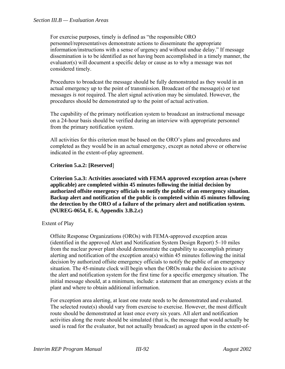#### *Section III.B — Evaluation Areas*

For exercise purposes, timely is defined as "the responsible ORO personnel/representatives demonstrate actions to disseminate the appropriate information/instructions with a sense of urgency and without undue delay." If message dissemination is to be identified as not having been accomplished in a timely manner, the evaluator(s) will document a specific delay or cause as to why a message was not considered timely.

Procedures to broadcast the message should be fully demonstrated as they would in an actual emergency up to the point of transmission. Broadcast of the message(s) or test messages *is not* required. The alert signal activation may be simulated. However, the procedures should be demonstrated up to the point of actual activation.

The capability of the primary notification system to broadcast an instructional message on a 24-hour basis should be verified during an interview with appropriate personnel from the primary notification system.

All activities for this criterion must be based on the ORO's plans and procedures and completed as they would be in an actual emergency, except as noted above or otherwise indicated in the extent-of-play agreement.

#### **Criterion 5.a.2: [Reserved**]

 **Criterion 5.a.3: Activities associated with FEMA approved exception areas (where applicable) are completed within 45 minutes following the initial decision by authorized offsite emergency officials to notify the public of an emergency situation. Backup alert and notification of the public is completed within 45 minutes following the detection by the ORO of a failure of the primary alert and notification system. (NUREG-0654, E. 6, Appendix 3.B.2.c)** 

#### Extent of Play

Offsite Response Organizations (OROs) with FEMA-approved exception areas (identified in the approved Alert and Notification System Design Report) 5–10 miles from the nuclear power plant should demonstrate the capability to accomplish primary alerting and notification of the exception area(s) within 45 minutes following the initial decision by authorized offsite emergency officials to notify the public of an emergency situation. The 45-minute clock will begin when the OROs make the decision to activate the alert and notification system for the first time for a specific emergency situation. The initial message should, at a minimum, include: a statement that an emergency exists at the plant and where to obtain additional information.

For exception area alerting, at least one route needs to be demonstrated and evaluated. The selected route(s) should vary from exercise to exercise. However, the most difficult route should be demonstrated at least once every six years. All alert and notification activities along the route should be simulated (that is, the message that would actually be used is read for the evaluator, but not actually broadcast) as agreed upon in the extent-of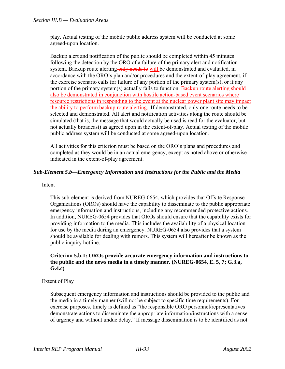play. Actual testing of the mobile public address system will be conducted at some agreed-upon location.

Backup alert and notification of the public should be completed within 45 minutes following the detection by the ORO of a failure of the primary alert and notification system. Backup route alerting only needs to will be demonstrated and evaluated, in accordance with the ORO's plan and/or procedures and the extent-of-play agreement, if the exercise scenario calls for failure of any portion of the primary system(s), or if any portion of the primary system(s) actually fails to function. Backup route alerting should also be demonstrated in conjunction with hostile action-based event scenarios where resource restrictions in responding to the event at the nuclear power plant site may impact the ability to perform backup route alerting. If demonstrated, only one route needs to be selected and demonstrated. All alert and notification activities along the route should be simulated (that is, the message that would actually be used is read for the evaluator, but not actually broadcast) as agreed upon in the extent-of-play. Actual testing of the mobile public address system will be conducted at some agreed-upon location.

All activities for this criterion must be based on the ORO's plans and procedures and completed as they would be in an actual emergency, except as noted above or otherwise indicated in the extent-of-play agreement.

# *Sub-Element 5.b—Emergency Information and Instructions for the Public and the Media*

#### Intent

This sub-element is derived from NUREG-0654, which provides that Offsite Response Organizations (OROs) should have the capability to disseminate to the public appropriate emergency information and instructions, including any recommended protective actions. In addition, NUREG-0654 provides that OROs should ensure that the capability exists for providing information to the media. This includes the availability of a physical location for use by the media during an emergency. NUREG-0654 also provides that a system should be available for dealing with rumors. This system will hereafter be known as the public inquiry hotline.

#### **Criterion 5.b.1: OROs provide accurate emergency information and instructions to the public and the news media in a timely manner. (NUREG-0654, E. 5, 7; G.3.a, G.4.c)**

#### Extent of Play

Subsequent emergency information and instructions should be provided to the public and the media in a timely manner (will not be subject to specific time requirements). For exercise purposes, timely is defined as "the responsible ORO personnel/representatives demonstrate actions to disseminate the appropriate information/instructions with a sense of urgency and without undue delay." If message dissemination is to be identified as not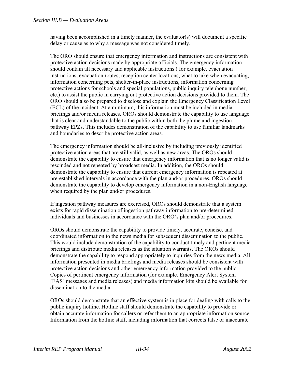having been accomplished in a timely manner, the evaluator(s) will document a specific delay or cause as to why a message was not considered timely.

The ORO should ensure that emergency information and instructions are consistent with protective action decisions made by appropriate officials. The emergency information should contain all necessary and applicable instructions ( for example, evacuation instructions, evacuation routes, reception center locations, what to take when evacuating, information concerning pets, shelter-in-place instructions, information concerning protective actions for schools and special populations, public inquiry telephone number, etc.) to assist the public in carrying out protective action decisions provided to them. The ORO should also be prepared to disclose and explain the Emergency Classification Level (ECL) of the incident. At a minimum, this information must be included in media briefings and/or media releases. OROs should demonstrate the capability to use language that is clear and understandable to the public within both the plume and ingestion pathway EPZs. This includes demonstration of the capability to use familiar landmarks and boundaries to describe protective action areas.

The emergency information should be all-inclusive by including previously identified protective action areas that are still valid, as well as new areas. The OROs should demonstrate the capability to ensure that emergency information that is no longer valid is rescinded and not repeated by broadcast media. In addition, the OROs should demonstrate the capability to ensure that current emergency information is repeated at pre-established intervals in accordance with the plan and/or procedures. OROs should demonstrate the capability to develop emergency information in a non-English language when required by the plan and/or procedures.

If ingestion pathway measures are exercised, OROs should demonstrate that a system exists for rapid dissemination of ingestion pathway information to pre-determined individuals and businesses in accordance with the ORO's plan and/or procedures.

OROs should demonstrate the capability to provide timely, accurate, concise, and coordinated information to the news media for subsequent dissemination to the public. This would include demonstration of the capability to conduct timely and pertinent media briefings and distribute media releases as the situation warrants. The OROs should demonstrate the capability to respond appropriately to inquiries from the news media. All information presented in media briefings and media releases should be consistent with protective action decisions and other emergency information provided to the public. Copies of pertinent emergency information (for example, Emergency Alert System [EAS] messages and media releases) and media information kits should be available for dissemination to the media.

OROs should demonstrate that an effective system is in place for dealing with calls to the public inquiry hotline. Hotline staff should demonstrate the capability to provide or obtain accurate information for callers or refer them to an appropriate information source. Information from the hotline staff, including information that corrects false or inaccurate